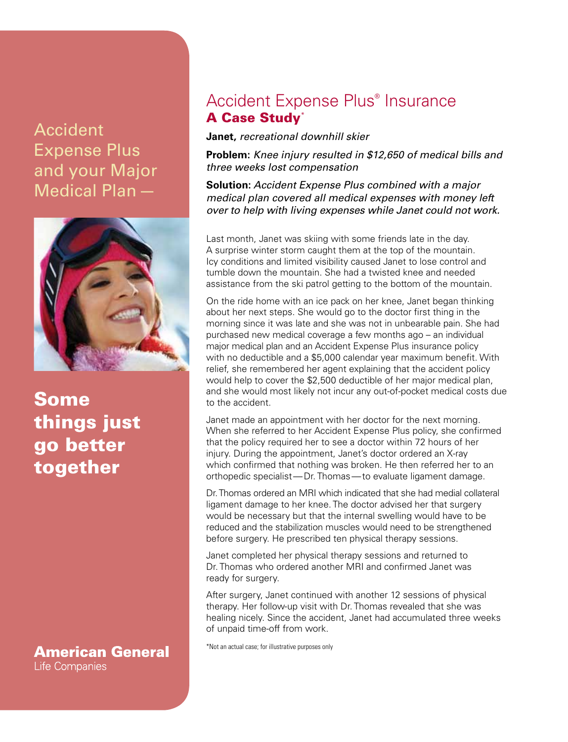## **Accident** Expense Plus and your Major Medical Plan—



Some things just go better together

**American General** Life Companies

## Accident Expense Plus® Insurance A Case Study\*

**Janet,** *recreational downhill skier*

**Problem:** *Knee injury resulted in \$12,650 of medical bills and three weeks lost compensation*

**Solution:** *Accident Expense Plus combined with a major medical plan covered all medical expenses with money left over to help with living expenses while Janet could not work.*

Last month, Janet was skiing with some friends late in the day. A surprise winter storm caught them at the top of the mountain. Icy conditions and limited visibility caused Janet to lose control and tumble down the mountain. She had a twisted knee and needed assistance from the ski patrol getting to the bottom of the mountain.

On the ride home with an ice pack on her knee, Janet began thinking about her next steps. She would go to the doctor first thing in the morning since it was late and she was not in unbearable pain. She had purchased new medical coverage a few months ago – an individual major medical plan and an Accident Expense Plus insurance policy with no deductible and a \$5,000 calendar year maximum benefit. With relief, she remembered her agent explaining that the accident policy would help to cover the \$2,500 deductible of her major medical plan, and she would most likely not incur any out-of-pocket medical costs due to the accident.

Janet made an appointment with her doctor for the next morning. When she referred to her Accident Expense Plus policy, she confirmed that the policy required her to see a doctor within 72 hours of her injury. During the appointment, Janet's doctor ordered an X-ray which confirmed that nothing was broken. He then referred her to an orthopedic specialist—Dr. Thomas—to evaluate ligament damage.

Dr. Thomas ordered an MRI which indicated that she had medial collateral ligament damage to her knee. The doctor advised her that surgery would be necessary but that the internal swelling would have to be reduced and the stabilization muscles would need to be strengthened before surgery. He prescribed ten physical therapy sessions.

Janet completed her physical therapy sessions and returned to Dr. Thomas who ordered another MRI and confirmed Janet was ready for surgery.

After surgery, Janet continued with another 12 sessions of physical therapy. Her follow-up visit with Dr. Thomas revealed that she was healing nicely. Since the accident, Janet had accumulated three weeks of unpaid time-off from work.

\*Not an actual case; for illustrative purposes only